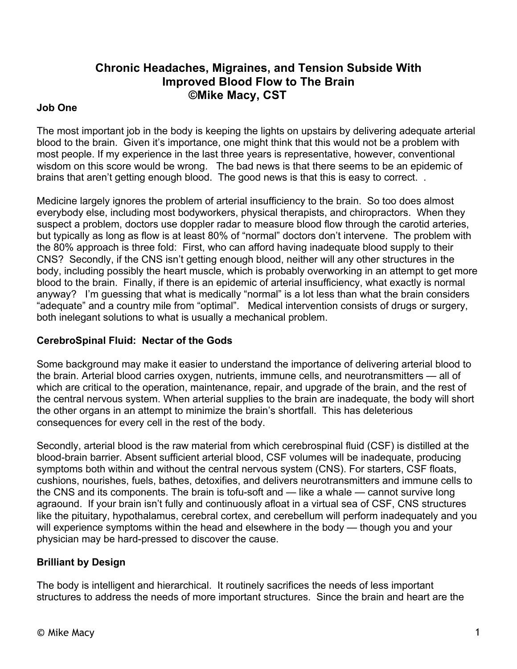# **Chronic Headaches, Migraines, and Tension Subside With Improved Blood Flow to The Brain ©Mike Macy, CST**

### **Job One**

The most important job in the body is keeping the lights on upstairs by delivering adequate arterial blood to the brain. Given it's importance, one might think that this would not be a problem with most people. If my experience in the last three years is representative, however, conventional wisdom on this score would be wrong. The bad news is that there seems to be an epidemic of brains that aren't getting enough blood. The good news is that this is easy to correct. .

Medicine largely ignores the problem of arterial insufficiency to the brain. So too does almost everybody else, including most bodyworkers, physical therapists, and chiropractors. When they suspect a problem, doctors use doppler radar to measure blood flow through the carotid arteries, but typically as long as flow is at least 80% of "normal" doctors don't intervene. The problem with the 80% approach is three fold: First, who can afford having inadequate blood supply to their CNS? Secondly, if the CNS isn't getting enough blood, neither will any other structures in the body, including possibly the heart muscle, which is probably overworking in an attempt to get more blood to the brain. Finally, if there is an epidemic of arterial insufficiency, what exactly is normal anyway? I'm guessing that what is medically "normal" is a lot less than what the brain considers "adequate" and a country mile from "optimal". Medical intervention consists of drugs or surgery, both inelegant solutions to what is usually a mechanical problem.

## **CerebroSpinal Fluid: Nectar of the Gods**

Some background may make it easier to understand the importance of delivering arterial blood to the brain. Arterial blood carries oxygen, nutrients, immune cells, and neurotransmitters — all of which are critical to the operation, maintenance, repair, and upgrade of the brain, and the rest of the central nervous system. When arterial supplies to the brain are inadequate, the body will short the other organs in an attempt to minimize the brain's shortfall. This has deleterious consequences for every cell in the rest of the body.

Secondly, arterial blood is the raw material from which cerebrospinal fluid (CSF) is distilled at the blood-brain barrier. Absent sufficient arterial blood, CSF volumes will be inadequate, producing symptoms both within and without the central nervous system (CNS). For starters, CSF floats, cushions, nourishes, fuels, bathes, detoxifies, and delivers neurotransmitters and immune cells to the CNS and its components. The brain is tofu-soft and — like a whale — cannot survive long agraound. If your brain isn't fully and continuously afloat in a virtual sea of CSF, CNS structures like the pituitary, hypothalamus, cerebral cortex, and cerebellum will perform inadequately and you will experience symptoms within the head and elsewhere in the body — though you and your physician may be hard-pressed to discover the cause.

## **Brilliant by Design**

The body is intelligent and hierarchical. It routinely sacrifices the needs of less important structures to address the needs of more important structures. Since the brain and heart are the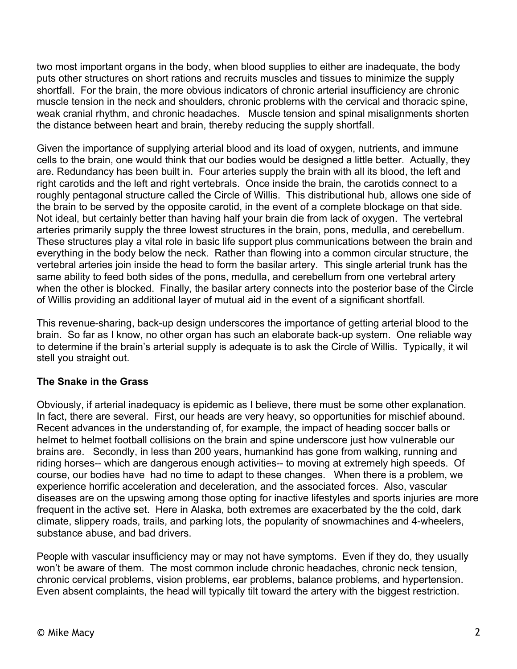two most important organs in the body, when blood supplies to either are inadequate, the body puts other structures on short rations and recruits muscles and tissues to minimize the supply shortfall. For the brain, the more obvious indicators of chronic arterial insufficiency are chronic muscle tension in the neck and shoulders, chronic problems with the cervical and thoracic spine, weak cranial rhythm, and chronic headaches. Muscle tension and spinal misalignments shorten the distance between heart and brain, thereby reducing the supply shortfall.

Given the importance of supplying arterial blood and its load of oxygen, nutrients, and immune cells to the brain, one would think that our bodies would be designed a little better. Actually, they are. Redundancy has been built in. Four arteries supply the brain with all its blood, the left and right carotids and the left and right vertebrals. Once inside the brain, the carotids connect to a roughly pentagonal structure called the Circle of Willis. This distributional hub, allows one side of the brain to be served by the opposite carotid, in the event of a complete blockage on that side. Not ideal, but certainly better than having half your brain die from lack of oxygen. The vertebral arteries primarily supply the three lowest structures in the brain, pons, medulla, and cerebellum. These structures play a vital role in basic life support plus communications between the brain and everything in the body below the neck. Rather than flowing into a common circular structure, the vertebral arteries join inside the head to form the basilar artery. This single arterial trunk has the same ability to feed both sides of the pons, medulla, and cerebellum from one vertebral artery when the other is blocked. Finally, the basilar artery connects into the posterior base of the Circle of Willis providing an additional layer of mutual aid in the event of a significant shortfall.

This revenue-sharing, back-up design underscores the importance of getting arterial blood to the brain. So far as I know, no other organ has such an elaborate back-up system. One reliable way to determine if the brain's arterial supply is adequate is to ask the Circle of Willis. Typically, it wil stell you straight out.

## **The Snake in the Grass**

Obviously, if arterial inadequacy is epidemic as I believe, there must be some other explanation. In fact, there are several. First, our heads are very heavy, so opportunities for mischief abound. Recent advances in the understanding of, for example, the impact of heading soccer balls or helmet to helmet football collisions on the brain and spine underscore just how vulnerable our brains are. Secondly, in less than 200 years, humankind has gone from walking, running and riding horses-- which are dangerous enough activities-- to moving at extremely high speeds. Of course, our bodies have had no time to adapt to these changes. When there is a problem, we experience horrific acceleration and deceleration, and the associated forces. Also, vascular diseases are on the upswing among those opting for inactive lifestyles and sports injuries are more frequent in the active set. Here in Alaska, both extremes are exacerbated by the the cold, dark climate, slippery roads, trails, and parking lots, the popularity of snowmachines and 4-wheelers, substance abuse, and bad drivers.

People with vascular insufficiency may or may not have symptoms. Even if they do, they usually won't be aware of them. The most common include chronic headaches, chronic neck tension, chronic cervical problems, vision problems, ear problems, balance problems, and hypertension. Even absent complaints, the head will typically tilt toward the artery with the biggest restriction.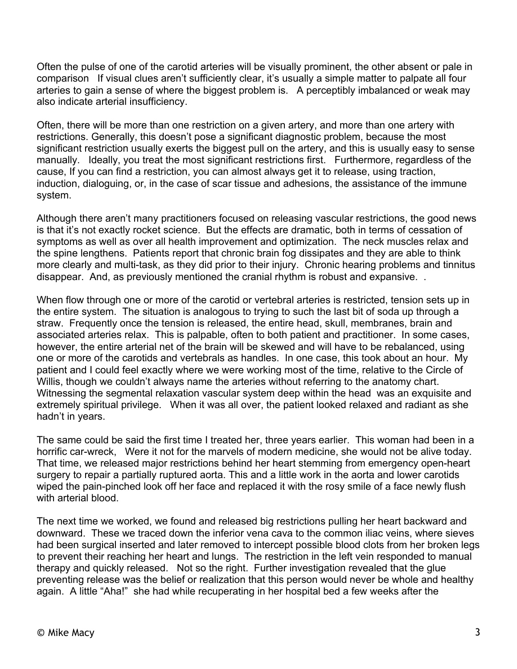Often the pulse of one of the carotid arteries will be visually prominent, the other absent or pale in comparison If visual clues aren't sufficiently clear, it's usually a simple matter to palpate all four arteries to gain a sense of where the biggest problem is. A perceptibly imbalanced or weak may also indicate arterial insufficiency.

Often, there will be more than one restriction on a given artery, and more than one artery with restrictions. Generally, this doesn't pose a significant diagnostic problem, because the most significant restriction usually exerts the biggest pull on the artery, and this is usually easy to sense manually. Ideally, you treat the most significant restrictions first. Furthermore, regardless of the cause, If you can find a restriction, you can almost always get it to release, using traction, induction, dialoguing, or, in the case of scar tissue and adhesions, the assistance of the immune system.

Although there aren't many practitioners focused on releasing vascular restrictions, the good news is that it's not exactly rocket science. But the effects are dramatic, both in terms of cessation of symptoms as well as over all health improvement and optimization. The neck muscles relax and the spine lengthens. Patients report that chronic brain fog dissipates and they are able to think more clearly and multi-task, as they did prior to their injury. Chronic hearing problems and tinnitus disappear. And, as previously mentioned the cranial rhythm is robust and expansive. .

When flow through one or more of the carotid or vertebral arteries is restricted, tension sets up in the entire system. The situation is analogous to trying to such the last bit of soda up through a straw. Frequently once the tension is released, the entire head, skull, membranes, brain and associated arteries relax. This is palpable, often to both patient and practitioner. In some cases, however, the entire arterial net of the brain will be skewed and will have to be rebalanced, using one or more of the carotids and vertebrals as handles. In one case, this took about an hour. My patient and I could feel exactly where we were working most of the time, relative to the Circle of Willis, though we couldn't always name the arteries without referring to the anatomy chart. Witnessing the segmental relaxation vascular system deep within the head was an exquisite and extremely spiritual privilege. When it was all over, the patient looked relaxed and radiant as she hadn't in years.

The same could be said the first time I treated her, three years earlier. This woman had been in a horrific car-wreck, Were it not for the marvels of modern medicine, she would not be alive today. That time, we released major restrictions behind her heart stemming from emergency open-heart surgery to repair a partially ruptured aorta. This and a little work in the aorta and lower carotids wiped the pain-pinched look off her face and replaced it with the rosy smile of a face newly flush with arterial blood.

The next time we worked, we found and released big restrictions pulling her heart backward and downward. These we traced down the inferior vena cava to the common iliac veins, where sieves had been surgical inserted and later removed to intercept possible blood clots from her broken legs to prevent their reaching her heart and lungs. The restriction in the left vein responded to manual therapy and quickly released. Not so the right. Further investigation revealed that the glue preventing release was the belief or realization that this person would never be whole and healthy again. A little "Aha!" she had while recuperating in her hospital bed a few weeks after the